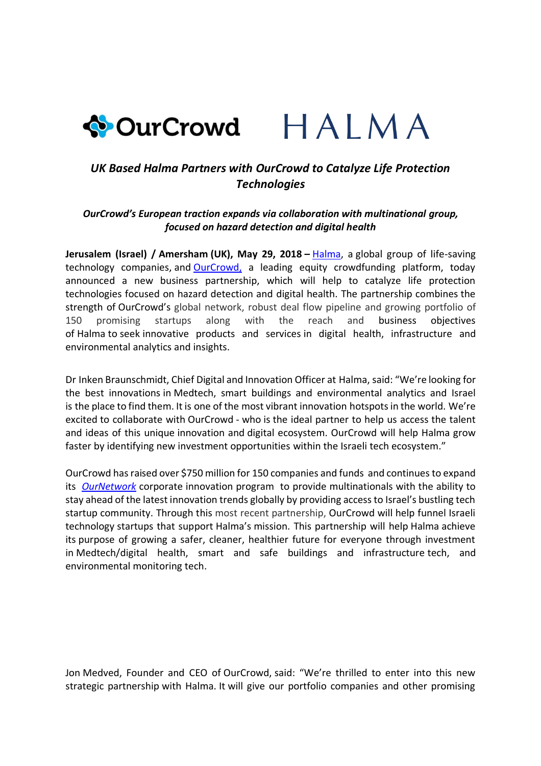## ◆OurCrowd HALMA

## *UK Based Halma Partners with OurCrowd to Catalyze Life Protection Technologies*

## *OurCrowd's European traction expands via collaboration with multinational group, focused on hazard detection and digital health*

**Jerusalem (Israel) / Amersham (UK), May 29, 2018 –** [Halma,](http://www.halma.com/) a global group of life-saving technology companies, and [OurCrowd,](http://www.ourcrowd.com/) a leading equity crowdfunding platform, today announced a new business partnership, which will help to catalyze life protection technologies focused on hazard detection and digital health. The partnership combines the strength of OurCrowd's global network, robust deal flow pipeline and growing portfolio of 150 promising startups along with the reach and business objectives of Halma to seek innovative products and services in digital health, infrastructure and environmental analytics and insights.

Dr Inken Braunschmidt, Chief Digital and Innovation Officer at Halma, said: "We're looking for the best innovations in Medtech, smart buildings and environmental analytics and Israel is the place to find them. It is one of the most vibrant innovation hotspots in the world. We're excited to collaborate with OurCrowd - who is the ideal partner to help us access the talent and ideas of this unique innovation and digital ecosystem. OurCrowd will help Halma grow faster by identifying new investment opportunities within the Israeli tech ecosystem."

OurCrowd has raised over \$750 million for 150 companies and funds and continues to expand its *[OurNetwork](https://ournetwork.ourcrowd.com/strategic-collaboration-program/)* corporate innovation program to provide multinationals with the ability to stay ahead of the latest innovation trends globally by providing access to Israel's bustling tech startup community. Through this most recent partnership, OurCrowd will help funnel Israeli technology startups that support Halma's mission. This partnership will help Halma achieve its purpose of growing a safer, cleaner, healthier future for everyone through investment in Medtech/digital health, smart and safe buildings and infrastructure tech, and environmental monitoring tech.

Jon Medved, Founder and CEO of OurCrowd, said: "We're thrilled to enter into this new strategic partnership with Halma. It will give our portfolio companies and other promising